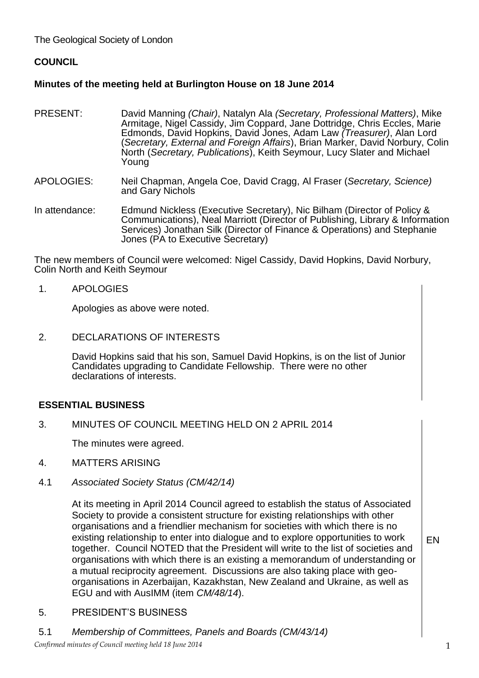The Geological Society of London

# **COUNCIL**

## **Minutes of the meeting held at Burlington House on 18 June 2014**

- PRESENT: David Manning *(Chair)*, Natalyn Ala *(Secretary, Professional Matters)*, Mike Armitage, Nigel Cassidy, Jim Coppard, Jane Dottridge, Chris Eccles, Marie Edmonds, David Hopkins, David Jones, Adam Law *(Treasurer)*, Alan Lord (*Secretary, External and Foreign Affairs*), Brian Marker, David Norbury, Colin North (*Secretary, Publications*), Keith Seymour, Lucy Slater and Michael Young
- APOLOGIES: Neil Chapman, Angela Coe, David Cragg, Al Fraser (*Secretary, Science)* and Gary Nichols
- In attendance: Edmund Nickless (Executive Secretary), Nic Bilham (Director of Policy & Communications), Neal Marriott (Director of Publishing, Library & Information Services) Jonathan Silk (Director of Finance & Operations) and Stephanie Jones (PA to Executive Secretary)

The new members of Council were welcomed: Nigel Cassidy, David Hopkins, David Norbury, Colin North and Keith Seymour

1. APOLOGIES

Apologies as above were noted.

2. DECLARATIONS OF INTERESTS

> David Hopkins said that his son, Samuel David Hopkins, is on the list of Junior Candidates upgrading to Candidate Fellowship. There were no other declarations of interests.

### **ESSENTIAL BUSINESS**

3. MINUTES OF COUNCIL MEETING HELD ON 2 APRIL 2014

The minutes were agreed.

- 4. MATTERS ARISING
- 4.1 *Associated Society Status (CM/42/14)*

At its meeting in April 2014 Council agreed to establish the status of Associated Society to provide a consistent structure for existing relationships with other organisations and a friendlier mechanism for societies with which there is no existing relationship to enter into dialogue and to explore opportunities to work together. Council NOTED that the President will write to the list of societies and organisations with which there is an existing a memorandum of understanding or a mutual reciprocity agreement. Discussions are also taking place with geoorganisations in Azerbaijan, Kazakhstan, New Zealand and Ukraine, as well as EGU and with AusIMM (item *CM/48/14*).

- 5. PRESIDENT'S BUSINESS
- 5.1 *Membership of Committees, Panels and Boards (CM/43/14)*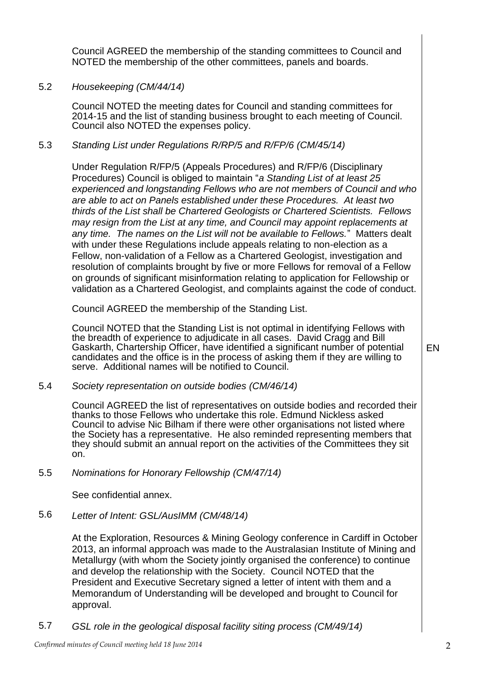Council AGREED the membership of the standing committees to Council and NOTED the membership of the other committees, panels and boards.

## 5.2 *Housekeeping (CM/44/14)*

Council NOTED the meeting dates for Council and standing committees for 2014-15 and the list of standing business brought to each meeting of Council. Council also NOTED the expenses policy.

## 5.3 *Standing List under Regulations R/RP/5 and R/FP/6 (CM/45/14)*

Under Regulation R/FP/5 (Appeals Procedures) and R/FP/6 (Disciplinary Procedures) Council is obliged to maintain "*a Standing List of at least 25 experienced and longstanding Fellows who are not members of Council and who are able to act on Panels established under these Procedures. At least two thirds of the List shall be Chartered Geologists or Chartered Scientists. Fellows may resign from the List at any time, and Council may appoint replacements at any time. The names on the List will not be available to Fellows.*" Matters dealt with under these Regulations include appeals relating to non-election as a Fellow, non-validation of a Fellow as a Chartered Geologist, investigation and resolution of complaints brought by five or more Fellows for removal of a Fellow on grounds of significant misinformation relating to application for Fellowship or validation as a Chartered Geologist, and complaints against the code of conduct.

Council AGREED the membership of the Standing List.

Council NOTED that the Standing List is not optimal in identifying Fellows with the breadth of experience to adjudicate in all cases. David Cragg and Bill Gaskarth, Chartership Officer, have identified a significant number of potential candidates and the office is in the process of asking them if they are willing to serve. Additional names will be notified to Council.

5.4 *Society representation on outside bodies (CM/46/14)*

Council AGREED the list of representatives on outside bodies and recorded their thanks to those Fellows who undertake this role. Edmund Nickless asked Council to advise Nic Bilham if there were other organisations not listed where the Society has a representative. He also reminded representing members that they should submit an annual report on the activities of the Committees they sit on.

5.5 *Nominations for Honorary Fellowship (CM/47/14)*

See confidential annex.

5.6 *Letter of Intent: GSL/AusIMM (CM/48/14)*

At the Exploration, Resources & Mining Geology conference in Cardiff in October 2013, an informal approach was made to the Australasian Institute of Mining and Metallurgy (with whom the Society jointly organised the conference) to continue and develop the relationship with the Society. Council NOTED that the President and Executive Secretary signed a letter of intent with them and a Memorandum of Understanding will be developed and brought to Council for approval.

5.7 *GSL role in the geological disposal facility siting process (CM/49/14)*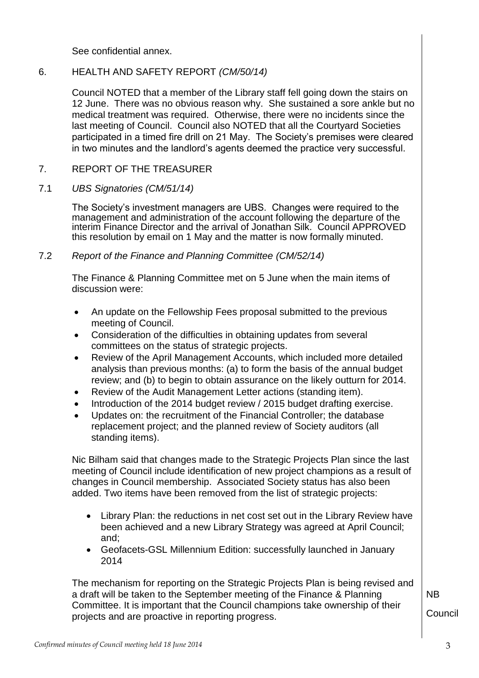See confidential annex.

## 6. HEALTH AND SAFETY REPORT *(CM/50/14)*

Council NOTED that a member of the Library staff fell going down the stairs on 12 June. There was no obvious reason why. She sustained a sore ankle but no medical treatment was required. Otherwise, there were no incidents since the last meeting of Council. Council also NOTED that all the Courtyard Societies participated in a timed fire drill on 21 May. The Society's premises were cleared in two minutes and the landlord's agents deemed the practice very successful.

#### 7. REPORT OF THE TREASURER

#### 7.1 *UBS Signatories (CM/51/14)*

The Society's investment managers are UBS. Changes were required to the management and administration of the account following the departure of the interim Finance Director and the arrival of Jonathan Silk. Council APPROVED this resolution by email on 1 May and the matter is now formally minuted.

#### 7.2 *Report of the Finance and Planning Committee (CM/52/14)*

The Finance & Planning Committee met on 5 June when the main items of discussion were:

- An update on the Fellowship Fees proposal submitted to the previous meeting of Council.
- Consideration of the difficulties in obtaining updates from several committees on the status of strategic projects.
- Review of the April Management Accounts, which included more detailed analysis than previous months: (a) to form the basis of the annual budget review; and (b) to begin to obtain assurance on the likely outturn for 2014.
- Review of the Audit Management Letter actions (standing item).
- Introduction of the 2014 budget review / 2015 budget drafting exercise.
- Updates on: the recruitment of the Financial Controller; the database replacement project; and the planned review of Society auditors (all standing items).

Nic Bilham said that changes made to the Strategic Projects Plan since the last meeting of Council include identification of new project champions as a result of changes in Council membership. Associated Society status has also been added. Two items have been removed from the list of strategic projects:

- Library Plan: the reductions in net cost set out in the Library Review have been achieved and a new Library Strategy was agreed at April Council; and;
- Geofacets-GSL Millennium Edition: successfully launched in January 2014

The mechanism for reporting on the Strategic Projects Plan is being revised and a draft will be taken to the September meeting of the Finance & Planning Committee. It is important that the Council champions take ownership of their projects and are proactive in reporting progress.

NB Council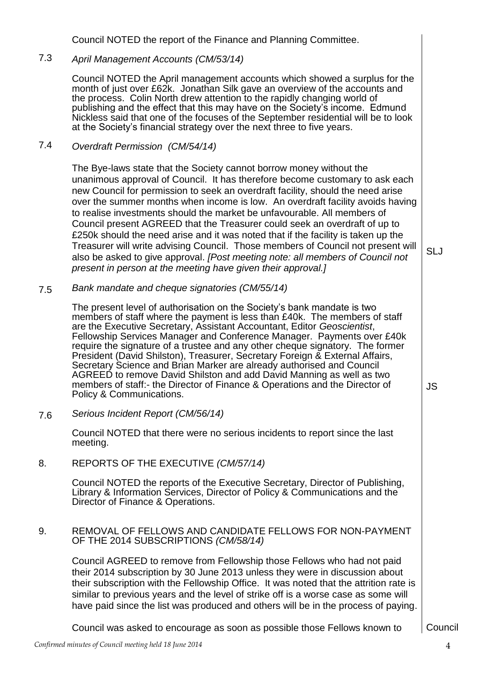Council NOTED the report of the Finance and Planning Committee.

#### 7.3 *April Management Accounts (CM/53/14)*

Council NOTED the April management accounts which showed a surplus for the month of just over £62k. Jonathan Silk gave an overview of the accounts and the process. Colin North drew attention to the rapidly changing world of publishing and the effect that this may have on the Society's income. Edmund Nickless said that one of the focuses of the September residential will be to look at the Society's financial strategy over the next three to five years.

#### 7.4 *Overdraft Permission (CM/54/14)*

The Bye-laws state that the Society cannot borrow money without the unanimous approval of Council. It has therefore become customary to ask each new Council for permission to seek an overdraft facility, should the need arise over the summer months when income is low. An overdraft facility avoids having to realise investments should the market be unfavourable. All members of Council present AGREED that the Treasurer could seek an overdraft of up to £250k should the need arise and it was noted that if the facility is taken up the Treasurer will write advising Council. Those members of Council not present will also be asked to give approval. *[Post meeting note: all members of Council not present in person at the meeting have given their approval.]* 

7.5 *Bank mandate and cheque signatories (CM/55/14)*

> The present level of authorisation on the Society's bank mandate is two members of staff where the payment is less than £40k. The members of staff are the Executive Secretary, Assistant Accountant, Editor *Geoscientist*, Fellowship Services Manager and Conference Manager. Payments over £40k require the signature of a trustee and any other cheque signatory. The former President (David Shilston), Treasurer, Secretary Foreign & External Affairs, Secretary Science and Brian Marker are already authorised and Council AGREED to remove David Shilston and add David Manning as well as two members of staff:- the Director of Finance & Operations and the Director of Policy & Communications.

JS

SLJ

7.6 *Serious Incident Report (CM/56/14)*

> Council NOTED that there were no serious incidents to report since the last meeting.

8. REPORTS OF THE EXECUTIVE *(CM/57/14)*

Council NOTED the reports of the Executive Secretary, Director of Publishing, Library & Information Services, Director of Policy & Communications and the Director of Finance & Operations.

### 9. REMOVAL OF FELLOWS AND CANDIDATE FELLOWS FOR NON-PAYMENT OF THE 2014 SUBSCRIPTIONS *(CM/58/14)*

Council AGREED to remove from Fellowship those Fellows who had not paid their 2014 subscription by 30 June 2013 unless they were in discussion about their subscription with the Fellowship Office. It was noted that the attrition rate is similar to previous years and the level of strike off is a worse case as some will have paid since the list was produced and others will be in the process of paying.

Council was asked to encourage as soon as possible those Fellows known to [Council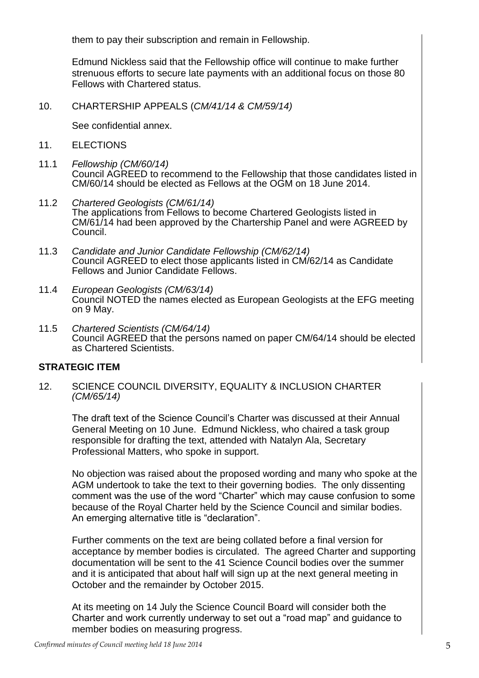them to pay their subscription and remain in Fellowship.

Edmund Nickless said that the Fellowship office will continue to make further strenuous efforts to secure late payments with an additional focus on those 80 Fellows with Chartered status.

10. CHARTERSHIP APPEALS (*CM/41/14 & CM/59/14)*

See confidential annex.

- 11. **ELECTIONS**
- 11.1 *Fellowship (CM/60/14)* Council AGREED to recommend to the Fellowship that those candidates listed in CM/60/14 should be elected as Fellows at the OGM on 18 June 2014.
- 11.2 *Chartered Geologists (CM/61/14)* The applications from Fellows to become Chartered Geologists listed in CM/61/14 had been approved by the Chartership Panel and were AGREED by Council.
- 11.3 *Candidate and Junior Candidate Fellowship (CM/62/14)* Council AGREED to elect those applicants listed in CM/62/14 as Candidate Fellows and Junior Candidate Fellows.
- 11.4 *European Geologists (CM/63/14)* Council NOTED the names elected as European Geologists at the EFG meeting on 9 May.
- 11.5 *Chartered Scientists (CM/64/14)* Council AGREED that the persons named on paper CM/64/14 should be elected as Chartered Scientists.

# **STRATEGIC ITEM**

12. SCIENCE COUNCIL DIVERSITY, EQUALITY & INCLUSION CHARTER *(CM/65/14)*

The draft text of the Science Council's Charter was discussed at their Annual General Meeting on 10 June. Edmund Nickless, who chaired a task group responsible for drafting the text, attended with Natalyn Ala, Secretary Professional Matters, who spoke in support.

No objection was raised about the proposed wording and many who spoke at the AGM undertook to take the text to their governing bodies. The only dissenting comment was the use of the word "Charter" which may cause confusion to some because of the Royal Charter held by the Science Council and similar bodies. An emerging alternative title is "declaration".

Further comments on the text are being collated before a final version for acceptance by member bodies is circulated. The agreed Charter and supporting documentation will be sent to the 41 Science Council bodies over the summer and it is anticipated that about half will sign up at the next general meeting in October and the remainder by October 2015.

At its meeting on 14 July the Science Council Board will consider both the Charter and work currently underway to set out a "road map" and guidance to member bodies on measuring progress.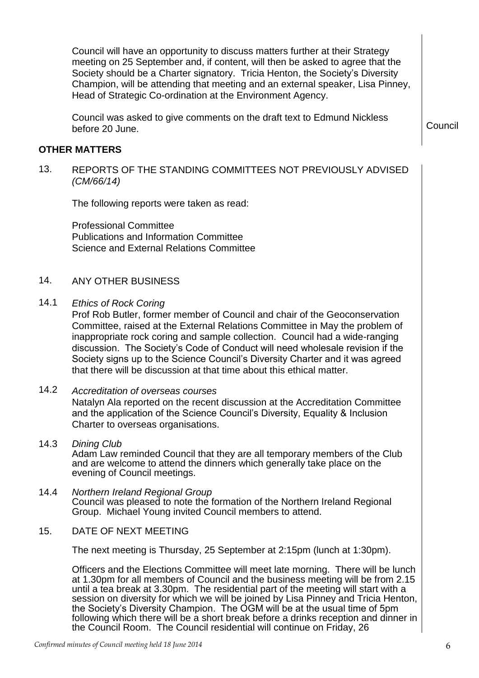Council will have an opportunity to discuss matters further at their Strategy meeting on 25 September and, if content, will then be asked to agree that the Society should be a Charter signatory. Tricia Henton, the Society's Diversity Champion, will be attending that meeting and an external speaker, Lisa Pinney, Head of Strategic Co-ordination at the Environment Agency.

Council was asked to give comments on the draft text to Edmund Nickless before 20 June. Council and the council council council council council council

### **OTHER MATTERS**

13. REPORTS OF THE STANDING COMMITTEES NOT PREVIOUSLY ADVISED *(CM/66/14)*

The following reports were taken as read:

Professional Committee Publications and Information Committee Science and External Relations Committee

### 14. ANY OTHER BUSINESS

14.1 *Ethics of Rock Coring*

Prof Rob Butler, former member of Council and chair of the Geoconservation Committee, raised at the External Relations Committee in May the problem of inappropriate rock coring and sample collection. Council had a wide-ranging discussion. The Society's Code of Conduct will need wholesale revision if the Society signs up to the Science Council's Diversity Charter and it was agreed that there will be discussion at that time about this ethical matter.

14.2 *Accreditation of overseas courses* Natalyn Ala reported on the recent discussion at the Accreditation Committee and the application of the Science Council's Diversity, Equality & Inclusion Charter to overseas organisations.

- 14.3 *Dining Club* Adam Law reminded Council that they are all temporary members of the Club and are welcome to attend the dinners which generally take place on the evening of Council meetings.
- 14.4 *Northern Ireland Regional Group* Council was pleased to note the formation of the Northern Ireland Regional Group. Michael Young invited Council members to attend.
- 15. DATE OF NEXT MEETING

The next meeting is Thursday, 25 September at 2:15pm (lunch at 1:30pm).

Officers and the Elections Committee will meet late morning. There will be lunch at 1.30pm for all members of Council and the business meeting will be from 2.15 until a tea break at 3.30pm. The residential part of the meeting will start with a session on diversity for which we will be joined by Lisa Pinney and Tricia Henton, the Society's Diversity Champion. The OGM will be at the usual time of 5pm following which there will be a short break before a drinks reception and dinner in the Council Room. The Council residential will continue on Friday, 26